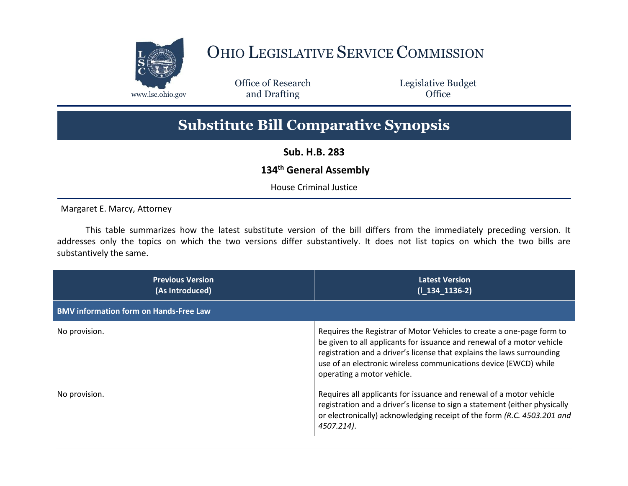

## OHIO LEGISLATIVE SERVICE COMMISSION

Office of Research www.lsc.ohio.gov **and Drafting Office** 

Legislative Budget

## **Substitute Bill Comparative Synopsis**

**Sub. H.B. 283**

## **134th General Assembly**

House Criminal Justice

Margaret E. Marcy, Attorney

This table summarizes how the latest substitute version of the bill differs from the immediately preceding version. It addresses only the topics on which the two versions differ substantively. It does not list topics on which the two bills are substantively the same.

| <b>Previous Version</b><br>(As Introduced)    | <b>Latest Version</b><br>$(I_134_1136-2)$                                                                                                                                                                                                                                                                                   |
|-----------------------------------------------|-----------------------------------------------------------------------------------------------------------------------------------------------------------------------------------------------------------------------------------------------------------------------------------------------------------------------------|
| <b>BMV information form on Hands-Free Law</b> |                                                                                                                                                                                                                                                                                                                             |
| No provision.                                 | Requires the Registrar of Motor Vehicles to create a one-page form to<br>be given to all applicants for issuance and renewal of a motor vehicle<br>registration and a driver's license that explains the laws surrounding<br>use of an electronic wireless communications device (EWCD) while<br>operating a motor vehicle. |
| No provision.                                 | Requires all applicants for issuance and renewal of a motor vehicle<br>registration and a driver's license to sign a statement (either physically<br>or electronically) acknowledging receipt of the form (R.C. 4503.201 and<br>4507.214).                                                                                  |